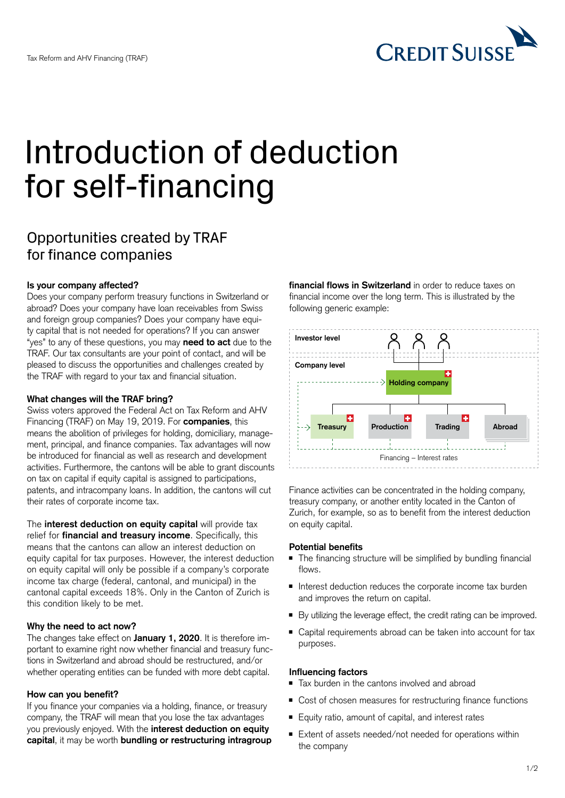

# Introduction of deduction for self-financing

# Opportunities created by TRAF for finance companies

# **Is your company affected?**

Does your company perform treasury functions in Switzerland or abroad? Does your company have loan receivables from Swiss and foreign group companies? Does your company have equity capital that is not needed for operations? If you can answer "yes" to any of these questions, you may **need to act** due to the TRAF. Our tax consultants are your point of contact, and will be pleased to discuss the opportunities and challenges created by the TRAF with regard to your tax and financial situation.

#### **What changes will the TRAF bring?**

Swiss voters approved the Federal Act on Tax Reform and AHV Financing (TRAF) on May 19, 2019. For **companies**, this means the abolition of privileges for holding, domiciliary, management, principal, and finance companies. Tax advantages will now be introduced for financial as well as research and development activities. Furthermore, the cantons will be able to grant discounts on tax on capital if equity capital is assigned to participations, patents, and intracompany loans. In addition, the cantons will cut their rates of corporate income tax.

The **interest deduction on equity capital** will provide tax relief for **financial and treasury income**. Specifically, this means that the cantons can allow an interest deduction on equity capital for tax purposes. However, the interest deduction on equity capital will only be possible if a company's corporate income tax charge (federal, cantonal, and municipal) in the cantonal capital exceeds 18%. Only in the Canton of Zurich is this condition likely to be met.

# **Why the need to act now?**

The changes take effect on **January 1, 2020**. It is therefore important to examine right now whether financial and treasury functions in Switzerland and abroad should be restructured, and/or whether operating entities can be funded with more debt capital.

#### **How can you benefit?**

If you finance your companies via a holding, finance, or treasury company, the TRAF will mean that you lose the tax advantages you previously enjoyed. With the **interest deduction on equity capital**, it may be worth **bundling or restructuring intragroup**  **financial flows in Switzerland** in order to reduce taxes on financial income over the long term. This is illustrated by the following generic example:



Finance activities can be concentrated in the holding company, treasury company, or another entity located in the Canton of Zurich, for example, so as to benefit from the interest deduction on equity capital.

#### **Potential benefits**

- The financing structure will be simplified by bundling financial flows.
- Interest deduction reduces the corporate income tax burden and improves the return on capital.
- By utilizing the leverage effect, the credit rating can be improved.
- Capital requirements abroad can be taken into account for tax purposes.

# **Influencing factors**

- Tax burden in the cantons involved and abroad
- Cost of chosen measures for restructuring finance functions
- Equity ratio, amount of capital, and interest rates
- Extent of assets needed/not needed for operations within the company